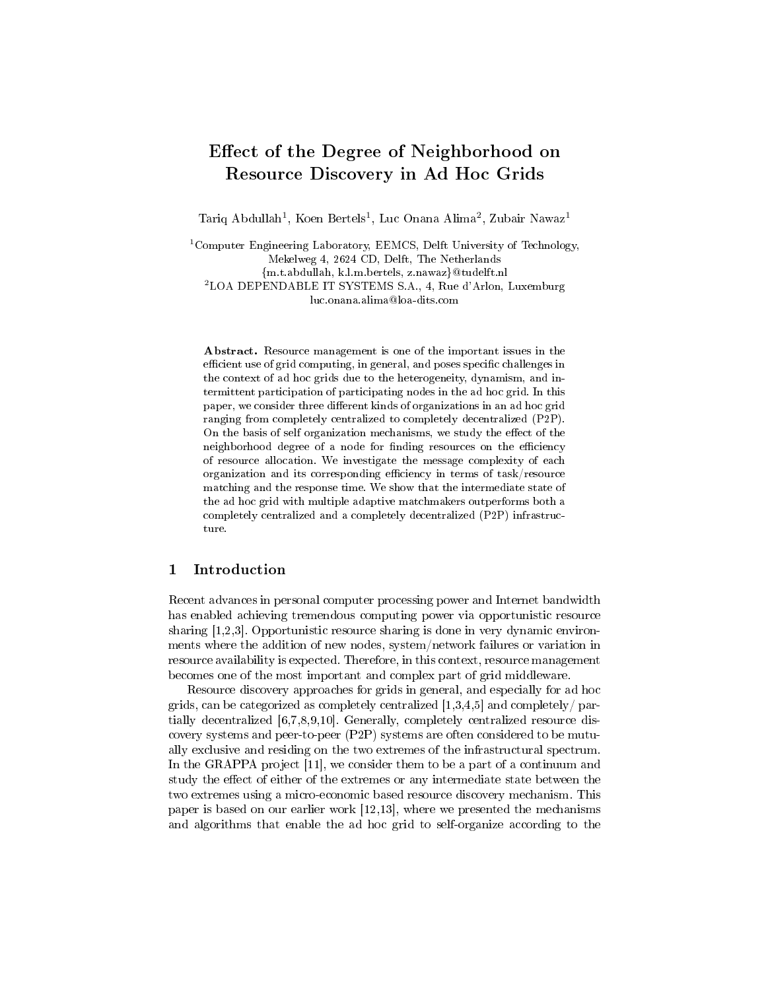# Effect of the Degree of Neighborhood on Resource Discovery in Ad Hoc Grids

Tariq Abdullah<sup>1</sup>, Koen Bertels<sup>1</sup>, Luc Onana Alima<sup>2</sup>, Zubair Nawaz<sup>1</sup>

<sup>1</sup>Computer Engineering Laboratory, EEMCS, Delft University of Technology, Mekelweg 4, 2624 CD, Delft, The Netherlands {m.t.abdullah, k.l.m.bertels, z.nawaz}@tudelft.nl <sup>2</sup>LOA DEPENDABLE IT SYSTEMS S.A., 4, Rue d'Arlon, Luxemburg luc.onana.alima@loa-dits.com

Abstract. Resource management is one of the important issues in the efficient use of grid computing, in general, and poses specific challenges in the context of ad hoc grids due to the heterogeneity, dynamism, and intermittent participation of participating nodes in the ad hoc grid. In this paper, we consider three different kinds of organizations in an ad hoc grid ranging from completely centralized to completely decentralized (P2P). On the basis of self organization mechanisms, we study the effect of the neighborhood degree of a node for finding resources on the efficiency of resource allocation. We investigate the message complexity of each organization and its corresponding efficiency in terms of task/resource matching and the response time. We show that the intermediate state of the ad hoc grid with multiple adaptive matchmakers outperforms both a completely centralized and a completely decentralized (P2P) infrastructure.

# 1 Introduction

Recent advances in personal computer processing power and Internet bandwidth has enabled achieving tremendous computing power via opportunistic resource sharing [1,2,3]. Opportunistic resource sharing is done in very dynamic environments where the addition of new nodes, system/network failures or variation in resource availability is expected. Therefore, in this context, resource management becomes one of the most important and complex part of grid middleware.

Resource discovery approaches for grids in general, and especially for ad hoc grids, can be categorized as completely centralized  $[1,3,4,5]$  and completely/ partially decentralized [6,7,8,9,10]. Generally, completely centralized resource discovery systems and peer-to-peer (P2P) systems are often considered to be mutually exclusive and residing on the two extremes of the infrastructural spectrum. In the GRAPPA project [11], we consider them to be a part of a continuum and study the effect of either of the extremes or any intermediate state between the two extremes using a micro-economic based resource discovery mechanism. This paper is based on our earlier work [12,13], where we presented the mechanisms and algorithms that enable the ad hoc grid to self-organize according to the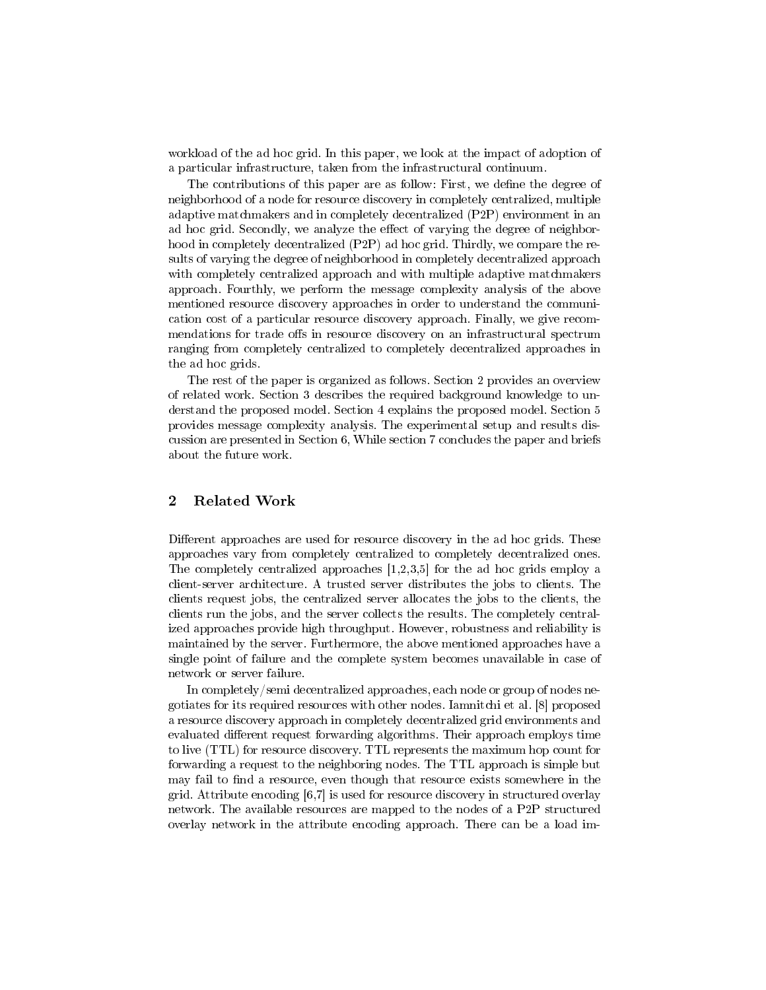workload of the ad hoc grid. In this paper, we look at the impact of adoption of a particular infrastructure, taken from the infrastructural continuum.

The contributions of this paper are as follow: First, we define the degree of neighborhood of a node for resource discovery in completely centralized, multiple adaptive matchmakers and in completely decentralized (P2P) environment in an ad hoc grid. Secondly, we analyze the effect of varying the degree of neighborhood in completely decentralized (P2P) ad hoc grid. Thirdly, we compare the results of varying the degree of neighborhood in completely decentralized approach with completely centralized approach and with multiple adaptive matchmakers approach. Fourthly, we perform the message complexity analysis of the above mentioned resource discovery approaches in order to understand the communication cost of a particular resource discovery approach. Finally, we give recommendations for trade offs in resource discovery on an infrastructural spectrum ranging from completely centralized to completely decentralized approaches in the ad hoc grids.

The rest of the paper is organized as follows. Section 2 provides an overview of related work. Section 3 describes the required background knowledge to understand the proposed model. Section 4 explains the proposed model. Section 5 provides message complexity analysis. The experimental setup and results discussion are presented in Section 6, While section 7 concludes the paper and briefs about the future work.

# 2 Related Work

Different approaches are used for resource discovery in the ad hoc grids. These approaches vary from completely centralized to completely decentralized ones. The completely centralized approaches [1,2,3,5] for the ad hoc grids employ a client-server architecture. A trusted server distributes the jobs to clients. The clients request jobs, the centralized server allocates the jobs to the clients, the clients run the jobs, and the server collects the results. The completely centralized approaches provide high throughput. However, robustness and reliability is maintained by the server. Furthermore, the above mentioned approaches have a single point of failure and the complete system becomes unavailable in case of network or server failure.

In completely/semi decentralized approaches, each node or group of nodes negotiates for its required resources with other nodes. Iamnitchi et al. [8] proposed a resource discovery approach in completely decentralized grid environments and evaluated different request forwarding algorithms. Their approach employs time to live (TTL) for resource discovery. TTL represents the maximum hop count for forwarding a request to the neighboring nodes. The TTL approach is simple but may fail to find a resource, even though that resource exists somewhere in the grid. Attribute encoding [6,7] is used for resource discovery in structured overlay network. The available resources are mapped to the nodes of a P2P structured overlay network in the attribute encoding approach. There can be a load im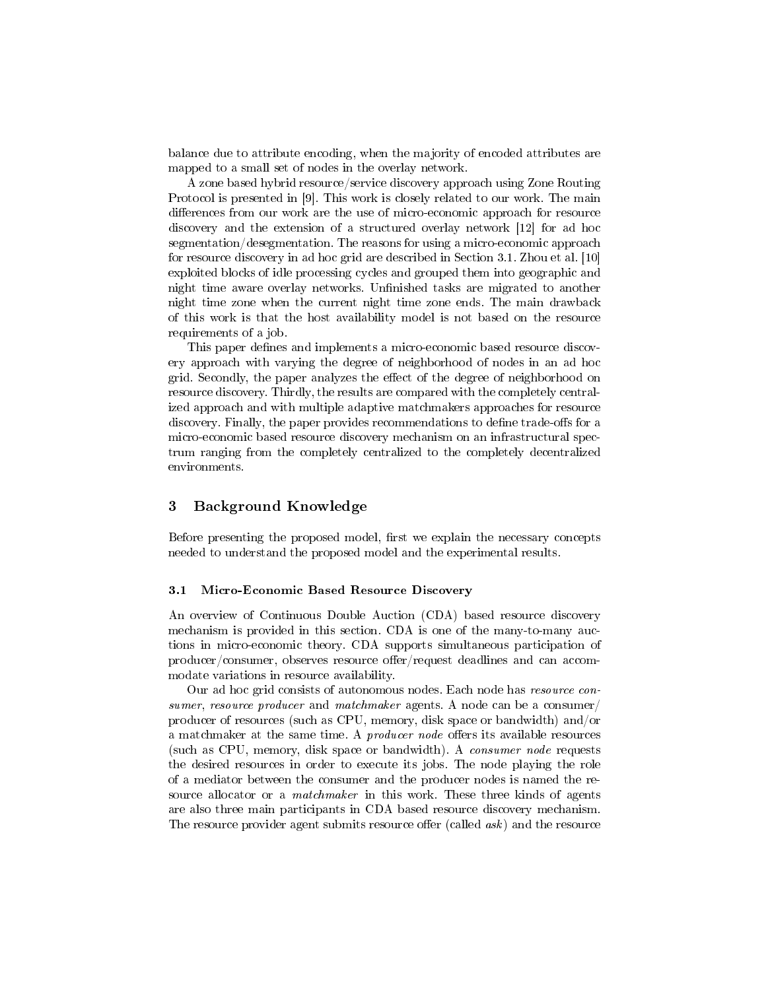balance due to attribute encoding, when the majority of encoded attributes are mapped to a small set of nodes in the overlay network.

A zone based hybrid resource/service discovery approach using Zone Routing Protocol is presented in [9]. This work is closely related to our work. The main differences from our work are the use of micro-economic approach for resource discovery and the extension of a structured overlay network [12] for ad hoc segmentation/desegmentation. The reasons for using a micro-economic approach for resource discovery in ad hoc grid are described in Section 3.1. Zhou et al. [10] exploited blocks of idle processing cycles and grouped them into geographic and night time aware overlay networks. Unfinished tasks are migrated to another night time zone when the current night time zone ends. The main drawback of this work is that the host availability model is not based on the resource requirements of a job.

This paper defines and implements a micro-economic based resource discovery approach with varying the degree of neighborhood of nodes in an ad hoc grid. Secondly, the paper analyzes the effect of the degree of neighborhood on resource discovery. Thirdly, the results are compared with the completely centralized approach and with multiple adaptive matchmakers approaches for resource discovery. Finally, the paper provides recommendations to define trade-offs for a micro-economic based resource discovery mechanism on an infrastructural spectrum ranging from the completely centralized to the completely decentralized environments.

### 3 Background Knowledge

Before presenting the proposed model, first we explain the necessary concepts needed to understand the proposed model and the experimental results.

#### 3.1 Micro-Economic Based Resource Discovery

An overview of Continuous Double Auction (CDA) based resource discovery mechanism is provided in this section. CDA is one of the many-to-many auctions in micro-economic theory. CDA supports simultaneous participation of  $producer/consumer, observes resource offer/request deadlines and can account.$ modate variations in resource availability.

Our ad hoc grid consists of autonomous nodes. Each node has resource consumer, resource producer and matchmaker agents. A node can be a consumer/ producer of resources (such as CPU, memory, disk space or bandwidth) and/or a matchmaker at the same time. A *producer node* offers its available resources (such as CPU, memory, disk space or bandwidth). A consumer node requests the desired resources in order to execute its jobs. The node playing the role of a mediator between the consumer and the producer nodes is named the resource allocator or a *matchmaker* in this work. These three kinds of agents are also three main participants in CDA based resource discovery mechanism. The resource provider agent submits resource offer (called  $ask$ ) and the resource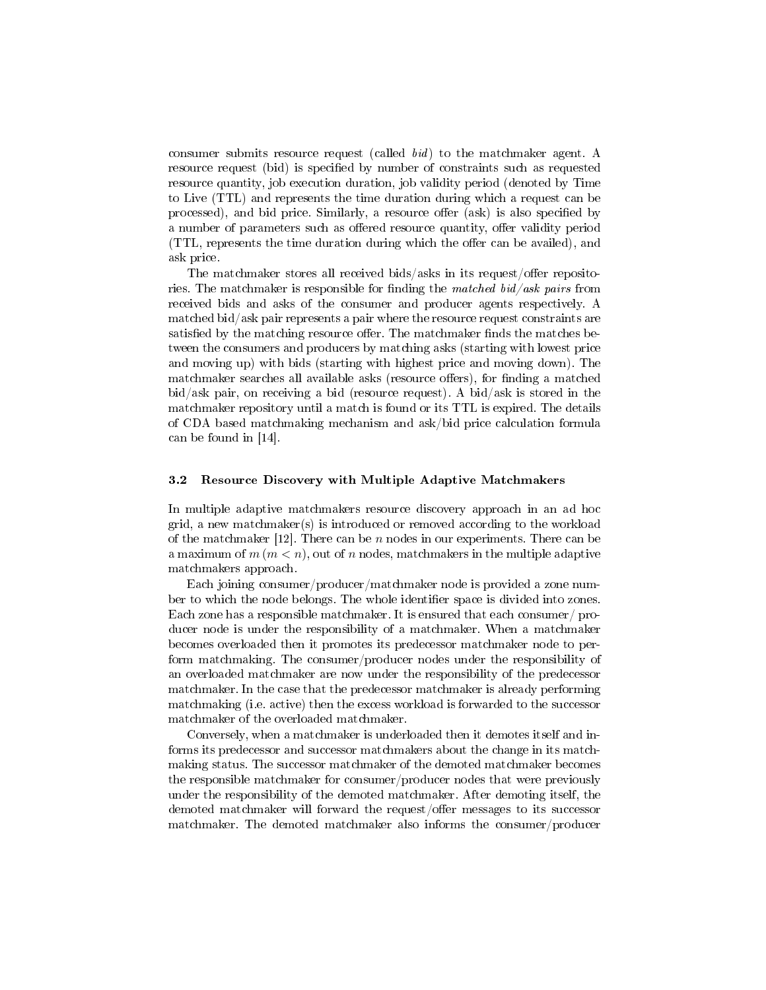consumer submits resource request (called bid) to the matchmaker agent. A resource request (bid) is specified by number of constraints such as requested resource quantity, job execution duration, job validity period (denoted by Time to Live (TTL) and represents the time duration during which a request can be processed), and bid price. Similarly, a resource offer (ask) is also specified by a number of parameters such as offered resource quantity, offer validity period (TTL, represents the time duration during which the offer can be availed), and ask price.

The matchmaker stores all received bids/asks in its request/offer repositories. The matchmaker is responsible for finding the *matched bid/ask pairs* from received bids and asks of the consumer and producer agents respectively. A matched bid/ask pair represents a pair where the resource request constraints are satisfied by the matching resource offer. The matchmaker finds the matches between the consumers and producers by matching asks (starting with lowest price and moving up) with bids (starting with highest price and moving down). The matchmaker searches all available asks (resource offers), for finding a matched bid/ask pair, on receiving a bid (resource request). A bid/ask is stored in the matchmaker repository until a match is found or its TTL is expired. The details of CDA based matchmaking mechanism and ask/bid price calculation formula can be found in [14].

#### 3.2 Resource Discovery with Multiple Adaptive Matchmakers

In multiple adaptive matchmakers resource discovery approach in an ad hoc grid, a new matchmaker(s) is introduced or removed according to the workload of the matchmaker  $[12]$ . There can be  $n$  nodes in our experiments. There can be a maximum of  $m (m < n)$ , out of n nodes, matchmakers in the multiple adaptive matchmakers approach.

Each joining consumer/producer/matchmaker node is provided a zone number to which the node belongs. The whole identifier space is divided into zones. Each zone has a responsible matchmaker. It is ensured that each consumer/ producer node is under the responsibility of a matchmaker. When a matchmaker becomes overloaded then it promotes its predecessor matchmaker node to perform matchmaking. The consumer/producer nodes under the responsibility of an overloaded matchmaker are now under the responsibility of the predecessor matchmaker. In the case that the predecessor matchmaker is already performing matchmaking (i.e. active) then the excess workload is forwarded to the successor matchmaker of the overloaded matchmaker.

Conversely, when a matchmaker is underloaded then it demotes itself and informs its predecessor and successor matchmakers about the change in its matchmaking status. The successor matchmaker of the demoted matchmaker becomes the responsible matchmaker for consumer/producer nodes that were previously under the responsibility of the demoted matchmaker. After demoting itself, the demoted matchmaker will forward the request/offer messages to its successor matchmaker. The demoted matchmaker also informs the consumer/producer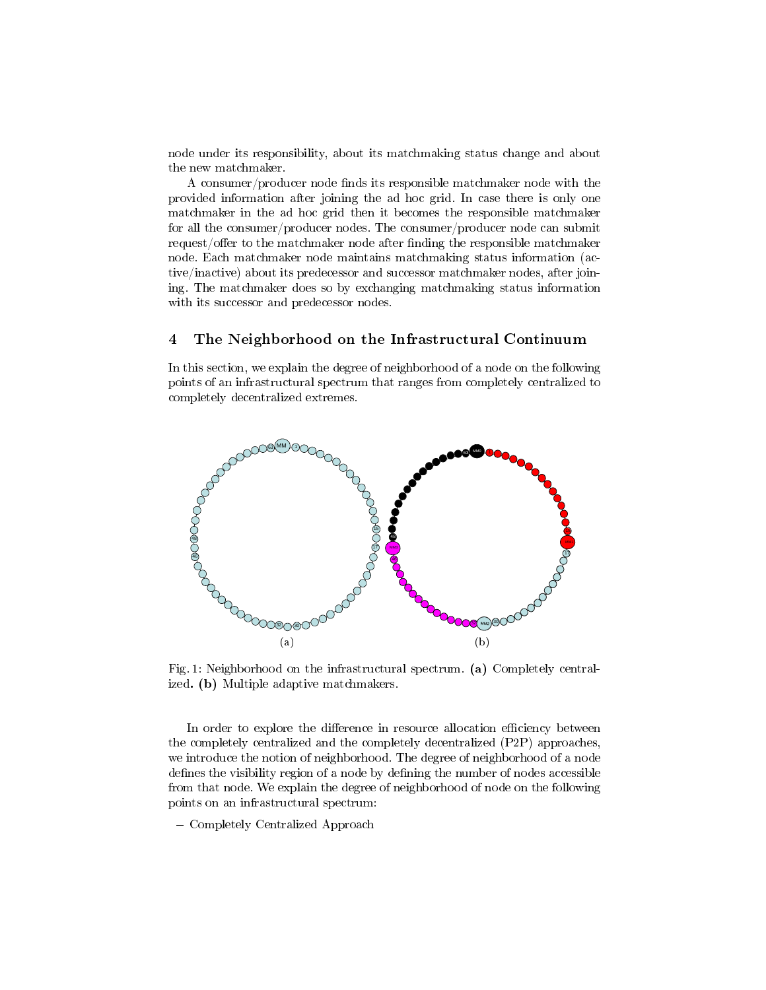node under its responsibility, about its matchmaking status change and about the new matchmaker.

A consumer/producer node finds its responsible matchmaker node with the provided information after joining the ad hoc grid. In case there is only one matchmaker in the ad hoc grid then it becomes the responsible matchmaker for all the consumer/producer nodes. The consumer/producer node can submit request/offer to the matchmaker node after finding the responsible matchmaker node. Each matchmaker node maintains matchmaking status information (active/inactive) about its predecessor and successor matchmaker nodes, after joining. The matchmaker does so by exchanging matchmaking status information with its successor and predecessor nodes.

## 4 The Neighborhood on the Infrastructural Continuum

In this section, we explain the degree of neighborhood of a node on the following points of an infrastructural spectrum that ranges from completely centralized to completely decentralized extremes.



Fig. 1: Neighborhood on the infrastructural spectrum. (a) Completely centralized. (b) Multiple adaptive matchmakers.

In order to explore the difference in resource allocation efficiency between the completely centralized and the completely decentralized (P2P) approaches, we introduce the notion of neighborhood. The degree of neighborhood of a node defines the visibility region of a node by defining the number of nodes accessible from that node. We explain the degree of neighborhood of node on the following points on an infrastructural spectrum:

- Completely Centralized Approach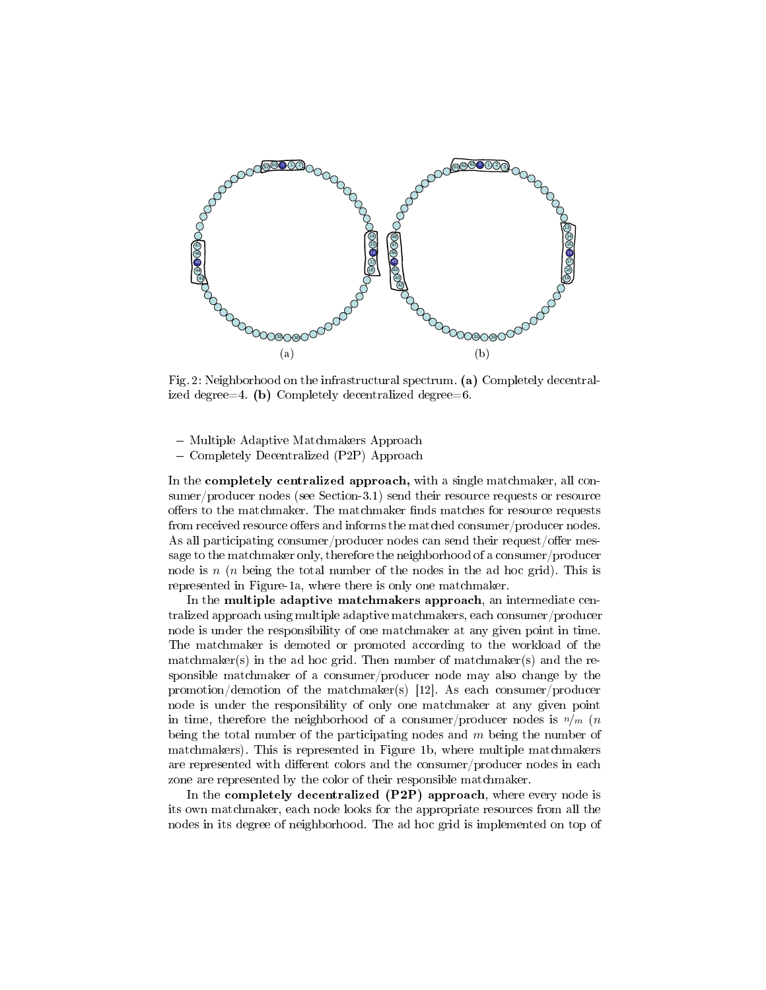

Fig. 2: Neighborhood on the infrastructural spectrum. (a) Completely decentralized degree=4. (b) Completely decentralized degree=6.

- Multiple Adaptive Matchmakers Approach

Completely Decentralized (P2P) Approach

In the completely centralized approach, with a single matchmaker, all consumer/producer nodes (see Section-3.1) send their resource requests or resource offers to the matchmaker. The matchmaker finds matches for resource requests from received resource offers and informs the matched consumer/producer nodes. As all participating consumer/producer nodes can send their request/offer message to the matchmaker only, therefore the neighborhood of a consumer/producer node is  $n(n)$  being the total number of the nodes in the ad hoc grid). This is represented in Figure-1a, where there is only one matchmaker.

In the multiple adaptive matchmakers approach, an intermediate centralized approach using multiple adaptive matchmakers, each consumer/producer node is under the responsibility of one matchmaker at any given point in time. The matchmaker is demoted or promoted according to the workload of the matchmaker(s) in the ad hoc grid. Then number of matchmaker(s) and the responsible matchmaker of a consumer/producer node may also change by the promotion/demotion of the matchmaker(s) [12]. As each consumer/producer node is under the responsibility of only one matchmaker at any given point in time, therefore the neighborhood of a consumer/producer nodes is  $n/m$  (*n* being the total number of the participating nodes and  $m$  being the number of matchmakers). This is represented in Figure 1b, where multiple matchmakers are represented with different colors and the consumer/producer nodes in each zone are represented by the color of their responsible matchmaker.

In the **completely decentralized (P2P)** approach, where every node is its own matchmaker, each node looks for the appropriate resources from all the nodes in its degree of neighborhood. The ad hoc grid is implemented on top of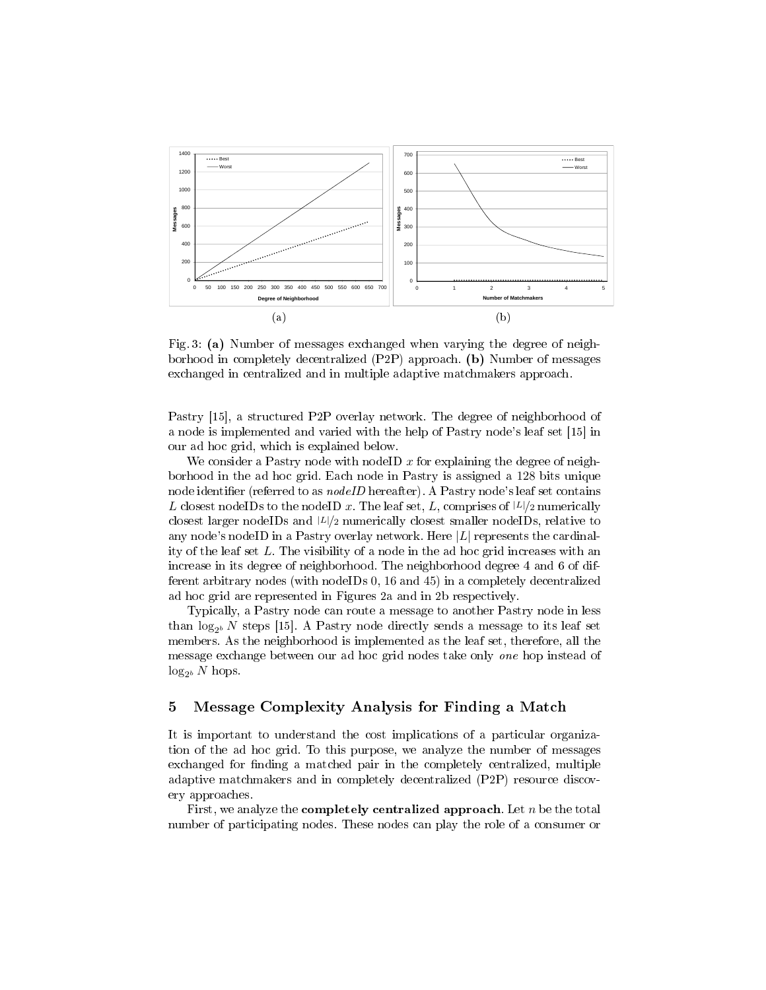

Fig. 3: (a) Number of messages exchanged when varying the degree of neighborhood in completely decentralized (P2P) approach. (b) Number of messages exchanged in centralized and in multiple adaptive matchmakers approach.

Pastry [15], a structured P2P overlay network. The degree of neighborhood of a node is implemented and varied with the help of Pastry node's leaf set [15] in our ad hoc grid, which is explained below.

We consider a Pastry node with nodeID  $x$  for explaining the degree of neighborhood in the ad hoc grid. Each node in Pastry is assigned a 128 bits unique node identifier (referred to as  $nodeID$  hereafter). A Pastry node's leaf set contains L closest nodeIDs to the nodeID x. The leaf set, L, comprises of  $|L|/2$  numerically closest larger nodeIDs and  $|L|/2$  numerically closest smaller nodeIDs, relative to any node's nodeID in a Pastry overlay network. Here  $|L|$  represents the cardinality of the leaf set  $L$ . The visibility of a node in the ad hoc grid increases with an increase in its degree of neighborhood. The neighborhood degree 4 and 6 of different arbitrary nodes (with nodeIDs 0, 16 and 45) in a completely decentralized ad hoc grid are represented in Figures 2a and in 2b respectively.

Typically, a Pastry node can route a message to another Pastry node in less than  $\log_{2^b} N$  steps [15]. A Pastry node directly sends a message to its leaf set members. As the neighborhood is implemented as the leaf set, therefore, all the message exchange between our ad hoc grid nodes take only one hop instead of  $log_{2^b} N$  hops.

## 5 Message Complexity Analysis for Finding a Match

It is important to understand the cost implications of a particular organization of the ad hoc grid. To this purpose, we analyze the number of messages exchanged for finding a matched pair in the completely centralized, multiple adaptive matchmakers and in completely decentralized (P2P) resource discovery approaches.

First, we analyze the **completely centralized approach**. Let  $n$  be the total number of participating nodes. These nodes can play the role of a consumer or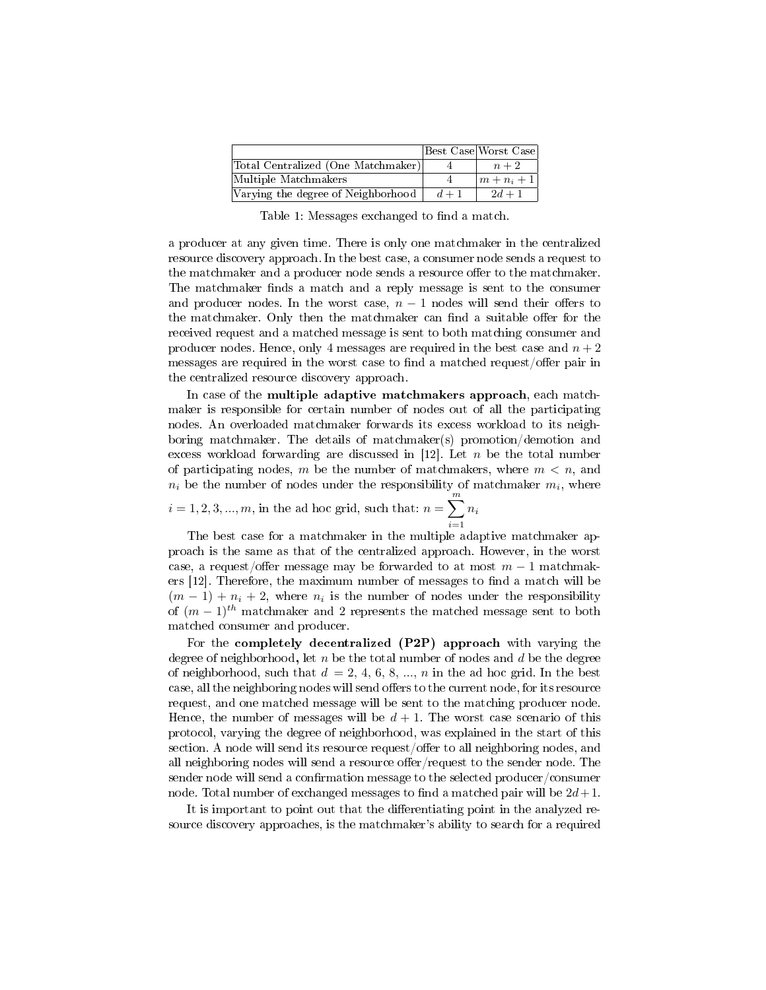|                                    |       | Best Case Worst Case      |
|------------------------------------|-------|---------------------------|
| Total Centralized (One Matchmaker) |       | $n+2$                     |
| Multiple Matchmakers               |       | $\left  m+n_{i}+1\right $ |
| Varying the degree of Neighborhood | $d+1$ | $2d + 1$                  |

Table 1: Messages exchanged to find a match.

a producer at any given time. There is only one matchmaker in the centralized resource discovery approach. In the best case, a consumer node sends a request to the matchmaker and a producer node sends a resource offer to the matchmaker. The matchmaker finds a match and a reply message is sent to the consumer and producer nodes. In the worst case,  $n-1$  nodes will send their offers to the matchmaker. Only then the matchmaker can find a suitable offer for the received request and a matched message is sent to both matching consumer and producer nodes. Hence, only 4 messages are required in the best case and  $n+2$ messages are required in the worst case to find a matched request/offer pair in the centralized resource discovery approach.

In case of the multiple adaptive matchmakers approach, each matchmaker is responsible for certain number of nodes out of all the participating nodes. An overloaded matchmaker forwards its excess workload to its neighboring matchmaker. The details of matchmaker(s) promotion/demotion and excess workload forwarding are discussed in  $[12]$ . Let *n* be the total number of participating nodes, m be the number of matchmakers, where  $m < n$ , and  $n_i$  be the number of nodes under the responsibility of matchmaker  $m_i$ , where

 $i = 1, 2, 3, ..., m$ , in the ad hoc grid, such that:  $n = \sum_{i=1}^{m} n_i$  $\frac{i=1}{i}$ 

The best case for a matchmaker in the multiple adaptive matchmaker approach is the same as that of the centralized approach. However, in the worst case, a request/offer message may be forwarded to at most  $m-1$  matchmakers  $[12]$ . Therefore, the maximum number of messages to find a match will be  $(m-1) + n_i + 2$ , where  $n_i$  is the number of nodes under the responsibility of  $(m-1)^{th}$  matchmaker and 2 represents the matched message sent to both matched consumer and producer.

For the **completely decentralized**  $(P2P)$  approach with varying the degree of neighborhood, let  $n$  be the total number of nodes and  $d$  be the degree of neighborhood, such that  $d = 2, 4, 6, 8, ..., n$  in the ad hoc grid. In the best case, all the neighboring nodes will send offers to the current node, for its resource request, and one matched message will be sent to the matching producer node. Hence, the number of messages will be  $d + 1$ . The worst case scenario of this protocol, varying the degree of neighborhood, was explained in the start of this section. A node will send its resource request/offer to all neighboring nodes, and all neighboring nodes will send a resource offer/request to the sender node. The sender node will send a confirmation message to the selected producer/consumer node. Total number of exchanged messages to find a matched pair will be  $2d+1$ .

It is important to point out that the differentiating point in the analyzed resource discovery approaches, is the matchmaker's ability to search for a required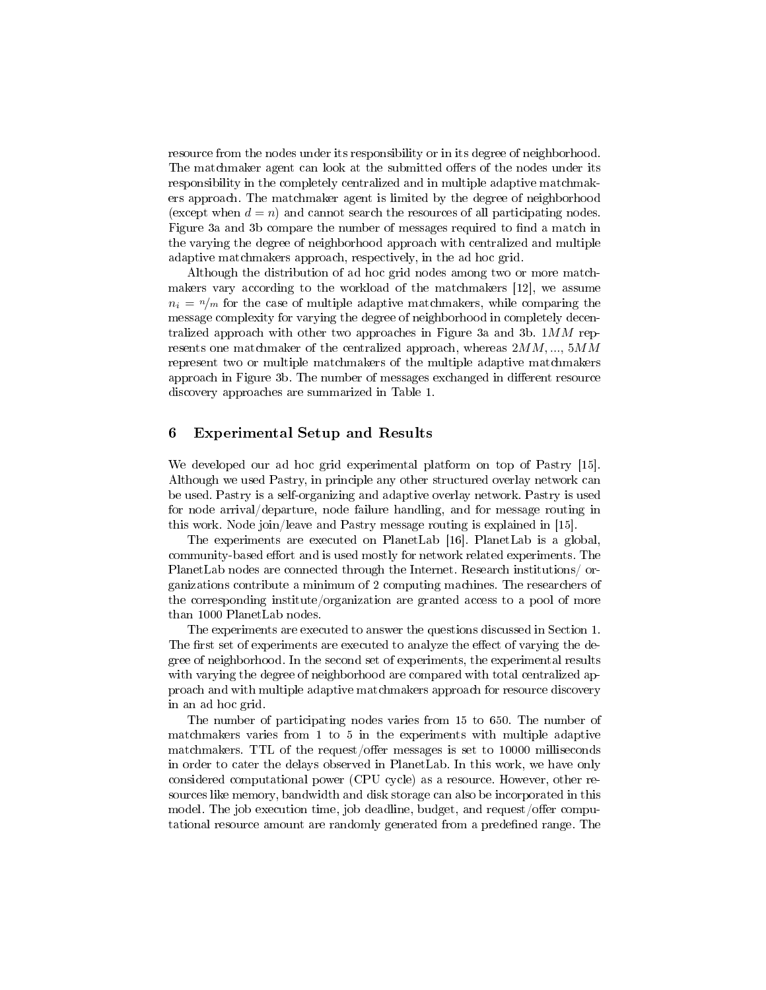resource from the nodes under its responsibility or in its degree of neighborhood. The matchmaker agent can look at the submitted offers of the nodes under its responsibility in the completely centralized and in multiple adaptive matchmakers approach. The matchmaker agent is limited by the degree of neighborhood (except when  $d = n$ ) and cannot search the resources of all participating nodes. Figure 3a and 3b compare the number of messages required to find a match in the varying the degree of neighborhood approach with centralized and multiple adaptive matchmakers approach, respectively, in the ad hoc grid.

Although the distribution of ad hoc grid nodes among two or more matchmakers vary according to the workload of the matchmakers [12], we assume  $n_i = \frac{n}{m}$  for the case of multiple adaptive matchmakers, while comparing the message complexity for varying the degree of neighborhood in completely decentralized approach with other two approaches in Figure 3a and 3b.  $1MM$  represents one matchmaker of the centralized approach, whereas  $2MM, ..., 5MM$ represent two or multiple matchmakers of the multiple adaptive matchmakers approach in Figure 3b. The number of messages exchanged in different resource discovery approaches are summarized in Table 1.

## 6 Experimental Setup and Results

We developed our ad hoc grid experimental platform on top of Pastry [15]. Although we used Pastry, in principle any other structured overlay network can be used. Pastry is a self-organizing and adaptive overlay network. Pastry is used for node arrival/departure, node failure handling, and for message routing in this work. Node join/leave and Pastry message routing is explained in [15].

The experiments are executed on PlanetLab [16]. PlanetLab is a global, community-based effort and is used mostly for network related experiments. The PlanetLab nodes are connected through the Internet. Research institutions/ organizations contribute a minimum of 2 computing machines. The researchers of the corresponding institute/organization are granted access to a pool of more than 1000 PlanetLab nodes.

The experiments are executed to answer the questions discussed in Section 1. The first set of experiments are executed to analyze the effect of varying the degree of neighborhood. In the second set of experiments, the experimental results with varying the degree of neighborhood are compared with total centralized approach and with multiple adaptive matchmakers approach for resource discovery in an ad hoc grid.

The number of participating nodes varies from 15 to 650. The number of matchmakers varies from 1 to 5 in the experiments with multiple adaptive matchmakers. TTL of the request/offer messages is set to  $10000$  milliseconds in order to cater the delays observed in PlanetLab. In this work, we have only considered computational power (CPU cycle) as a resource. However, other resources like memory, bandwidth and disk storage can also be incorporated in this model. The job execution time, job deadline, budget, and request/offer computational resource amount are randomly generated from a predened range. The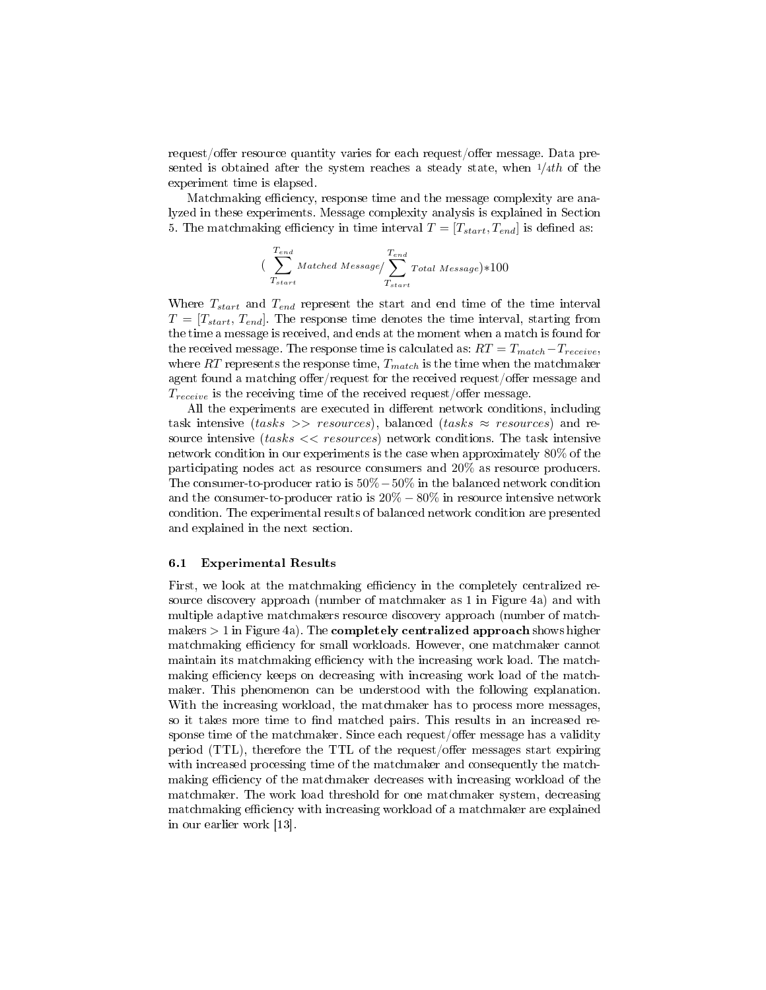request/offer resource quantity varies for each request/offer message. Data presented is obtained after the system reaches a steady state, when  $1/4th$  of the experiment time is elapsed.

Matchmaking efficiency, response time and the message complexity are analyzed in these experiments. Message complexity analysis is explained in Section 5. The matchmaking efficiency in time interval  $T = [T_{start}, T_{end}]$  is defined as:

$$
(\sum_{T_{start}}^{T_{end}}\textit{Matched Message}/\sum_{T_{start}}^{T_{end}}\textit{Total Message})*100
$$

Where  $T_{start}$  and  $T_{end}$  represent the start and end time of the time interval  $T = [T_{start}, T_{end}]$ . The response time denotes the time interval, starting from the time a message is received, and ends at the moment when a match is found for the received message. The response time is calculated as:  $RT = T_{match} - T_{receive}$ , where  $RT$  represents the response time,  $T_{match}$  is the time when the matchmaker agent found a matching offer/request for the received request/offer message and  $T_{receive}$  is the receiving time of the received request/offer message.

All the experiments are executed in different network conditions, including task intensive ( $tasks \ge$  resources), balanced ( $tasks \approx$  resources) and resource intensive  $(tasks \ll \text{resources})$  network conditions. The task intensive network condition in our experiments is the case when approximately 80% of the participating nodes act as resource consumers and 20% as resource producers. The consumer-to-producer ratio is 50%−50% in the balanced network condition and the consumer-to-producer ratio is  $20\% - 80\%$  in resource intensive network condition. The experimental results of balanced network condition are presented and explained in the next section.

#### 6.1 Experimental Results

First, we look at the matchmaking efficiency in the completely centralized resource discovery approach (number of matchmaker as 1 in Figure 4a) and with multiple adaptive matchmakers resource discovery approach (number of matchmakers  $> 1$  in Figure 4a). The **completely centralized approach** shows higher matchmaking efficiency for small workloads. However, one matchmaker cannot maintain its matchmaking efficiency with the increasing work load. The matchmaking efficiency keeps on decreasing with increasing work load of the matchmaker. This phenomenon can be understood with the following explanation. With the increasing workload, the matchmaker has to process more messages, so it takes more time to find matched pairs. This results in an increased response time of the matchmaker. Since each request/offer message has a validity period (TTL), therefore the TTL of the request/offer messages start expiring with increased processing time of the matchmaker and consequently the matchmaking efficiency of the matchmaker decreases with increasing workload of the matchmaker. The work load threshold for one matchmaker system, decreasing matchmaking efficiency with increasing workload of a matchmaker are explained in our earlier work [13].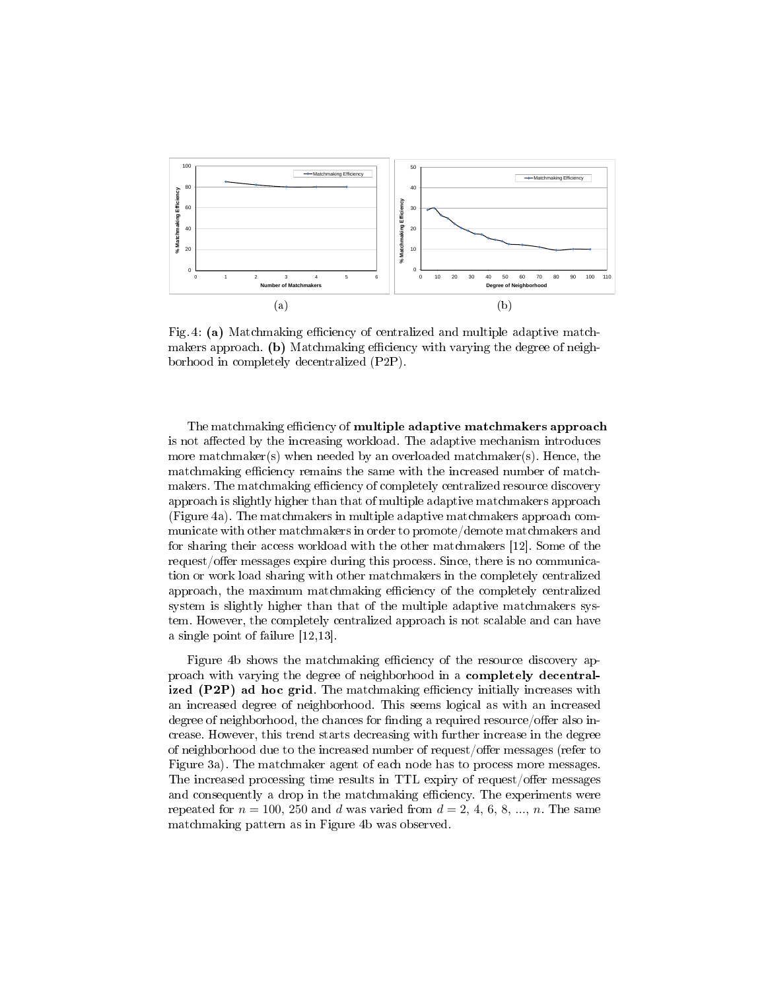

Fig. 4: (a) Matchmaking efficiency of centralized and multiple adaptive matchmakers approach. (b) Matchmaking efficiency with varying the degree of neighborhood in completely decentralized (P2P).

The matchmaking efficiency of multiple adaptive matchmakers approach is not affected by the increasing workload. The adaptive mechanism introduces more matchmaker(s) when needed by an overloaded matchmaker(s). Hence, the matchmaking efficiency remains the same with the increased number of matchmakers. The matchmaking efficiency of completely centralized resource discovery approach is slightly higher than that of multiple adaptive matchmakers approach (Figure 4a). The matchmakers in multiple adaptive matchmakers approach communicate with other matchmakers in order to promote/demote matchmakers and for sharing their access workload with the other matchmakers [12]. Some of the request/offer messages expire during this process. Since, there is no communication or work load sharing with other matchmakers in the completely centralized approach, the maximum matchmaking efficiency of the completely centralized system is slightly higher than that of the multiple adaptive matchmakers system. However, the completely centralized approach is not scalable and can have a single point of failure [12,13].

Figure 4b shows the matchmaking efficiency of the resource discovery approach with varying the degree of neighborhood in a completely decentralized  $(P2P)$  ad hoc grid. The matchmaking efficiency initially increases with an increased degree of neighborhood. This seems logical as with an increased degree of neighborhood, the chances for finding a required resource/offer also increase. However, this trend starts decreasing with further increase in the degree of neighborhood due to the increased number of request/offer messages (refer to Figure 3a). The matchmaker agent of each node has to process more messages. The increased processing time results in TTL expiry of request/offer messages and consequently a drop in the matchmaking efficiency. The experiments were repeated for  $n = 100, 250$  and d was varied from  $d = 2, 4, 6, 8, ..., n$ . The same matchmaking pattern as in Figure 4b was observed.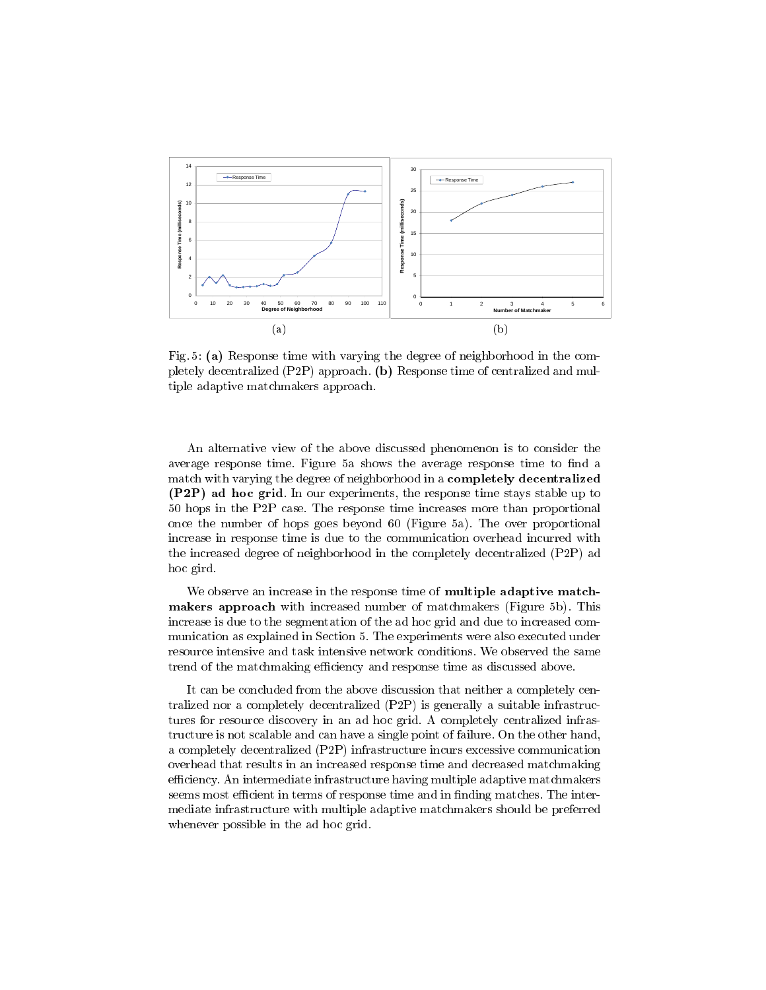

Fig. 5: (a) Response time with varying the degree of neighborhood in the completely decentralized (P2P) approach. (b) Response time of centralized and multiple adaptive matchmakers approach.

An alternative view of the above discussed phenomenon is to consider the average response time. Figure 5a shows the average response time to find a match with varying the degree of neighborhood in a **completely decentralized** (P2P) ad hoc grid. In our experiments, the response time stays stable up to 50 hops in the P2P case. The response time increases more than proportional once the number of hops goes beyond 60 (Figure 5a). The over proportional increase in response time is due to the communication overhead incurred with the increased degree of neighborhood in the completely decentralized (P2P) ad hoc gird.

We observe an increase in the response time of multiple adaptive matchmakers approach with increased number of matchmakers (Figure 5b). This increase is due to the segmentation of the ad hoc grid and due to increased communication as explained in Section 5. The experiments were also executed under resource intensive and task intensive network conditions. We observed the same trend of the matchmaking efficiency and response time as discussed above.

It can be concluded from the above discussion that neither a completely centralized nor a completely decentralized (P2P) is generally a suitable infrastructures for resource discovery in an ad hoc grid. A completely centralized infrastructure is not scalable and can have a single point of failure. On the other hand, a completely decentralized (P2P) infrastructure incurs excessive communication overhead that results in an increased response time and decreased matchmaking efficiency. An intermediate infrastructure having multiple adaptive matchmakers seems most efficient in terms of response time and in finding matches. The intermediate infrastructure with multiple adaptive matchmakers should be preferred whenever possible in the ad hoc grid.